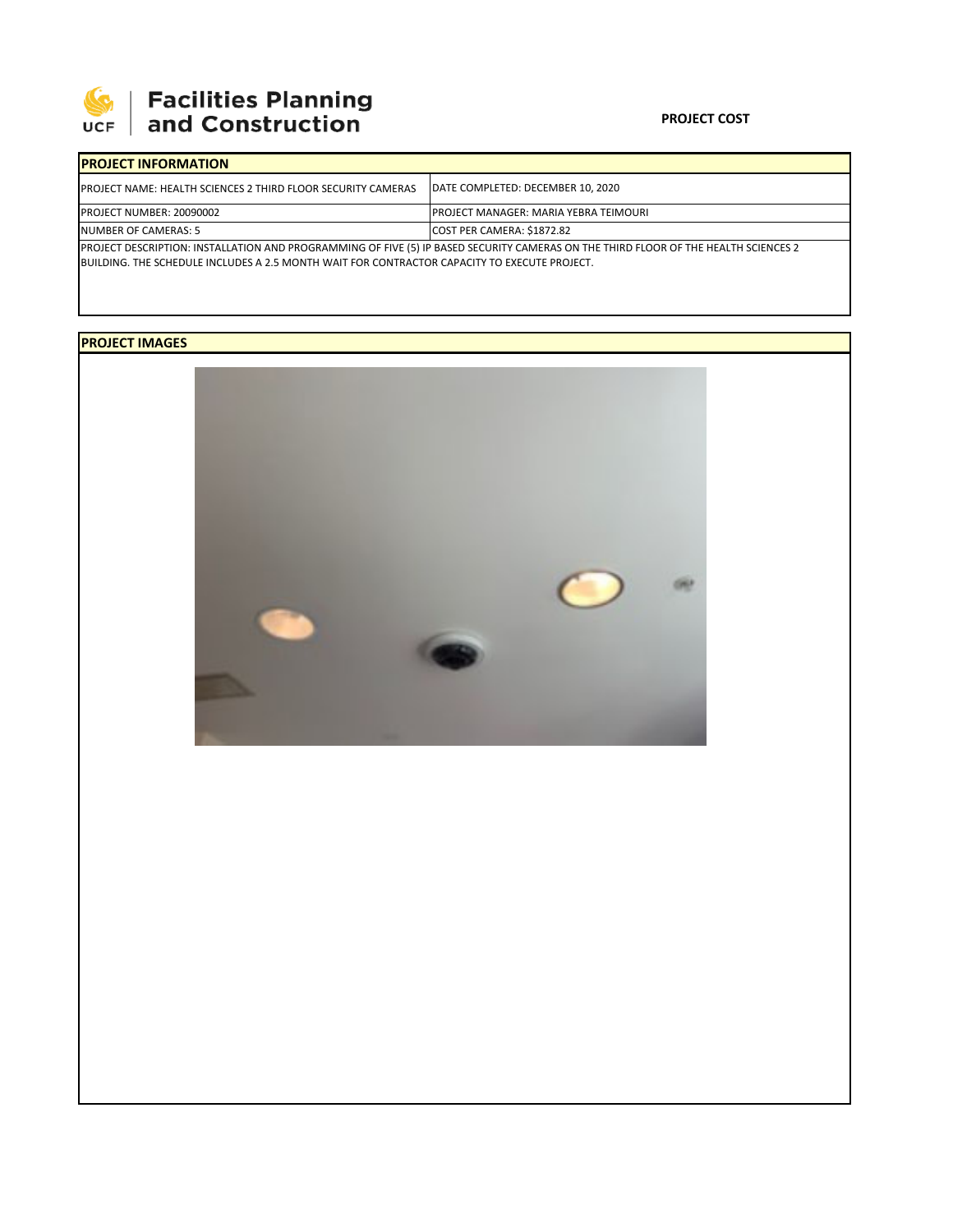

# | Facilities Planning<br>| and Construction

#### **PROJECT COST**

| <b>IPROJECT INFORMATION</b>                                                                                                         |                                              |  |  |  |
|-------------------------------------------------------------------------------------------------------------------------------------|----------------------------------------------|--|--|--|
| <b>IPROJECT NAME: HEALTH SCIENCES 2 THIRD FLOOR SECURITY CAMERAS</b>                                                                | DATE COMPLETED: DECEMBER 10, 2020            |  |  |  |
| <b>PROJECT NUMBER: 20090002</b>                                                                                                     | <b>PROJECT MANAGER: MARIA YEBRA TEIMOURI</b> |  |  |  |
| NUMBER OF CAMERAS: 5                                                                                                                | COST PER CAMERA: \$1872.82                   |  |  |  |
| PROJECT DESCRIPTION: INSTALLATION AND PROGRAMMING OF FIVE (5) IP BASED SECURITY CAMERAS ON THE THIRD FLOOR OF THE HEALTH SCIENCES 2 |                                              |  |  |  |
| BUILDING. THE SCHEDULE INCLUDES A 2.5 MONTH WAIT FOR CONTRACTOR CAPACITY TO EXECUTE PROJECT.                                        |                                              |  |  |  |

## **PROJECT IMAGES**